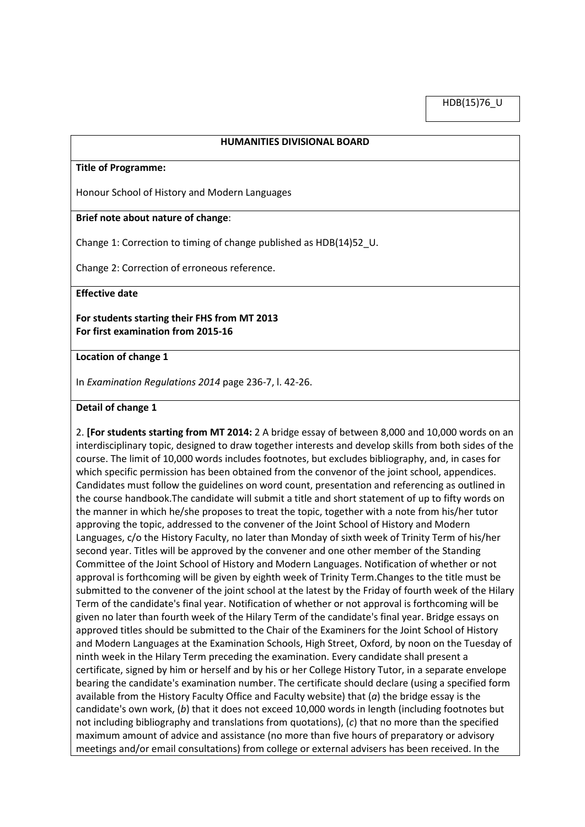HDB(15)76\_U

#### **HUMANITIES DIVISIONAL BOARD**

#### **Title of Programme:**

Honour School of History and Modern Languages

### **Brief note about nature of change**:

Change 1: Correction to timing of change published as HDB(14)52\_U.

Change 2: Correction of erroneous reference.

**Effective date**

# **For students starting their FHS from MT 2013 For first examination from 2015-16**

#### **Location of change 1**

In *Examination Regulations 2014* page 236-7, l. 42-26.

#### **Detail of change 1**

2. **[For students starting from MT 2014:** 2 A bridge essay of between 8,000 and 10,000 words on an interdisciplinary topic, designed to draw together interests and develop skills from both sides of the course. The limit of 10,000 words includes footnotes, but excludes bibliography, and, in cases for which specific permission has been obtained from the convenor of the joint school, appendices. Candidates must follow the guidelines on word count, presentation and referencing as outlined in the course handbook.The candidate will submit a title and short statement of up to fifty words on the manner in which he/she proposes to treat the topic, together with a note from his/her tutor approving the topic, addressed to the convener of the Joint School of History and Modern Languages, c/o the History Faculty, no later than Monday of sixth week of Trinity Term of his/her second year. Titles will be approved by the convener and one other member of the Standing Committee of the Joint School of History and Modern Languages. Notification of whether or not approval is forthcoming will be given by eighth week of Trinity Term.Changes to the title must be submitted to the convener of the joint school at the latest by the Friday of fourth week of the Hilary Term of the candidate's final year. Notification of whether or not approval is forthcoming will be given no later than fourth week of the Hilary Term of the candidate's final year. Bridge essays on approved titles should be submitted to the Chair of the Examiners for the Joint School of History and Modern Languages at the Examination Schools, High Street, Oxford, by noon on the Tuesday of ninth week in the Hilary Term preceding the examination. Every candidate shall present a certificate, signed by him or herself and by his or her College History Tutor, in a separate envelope bearing the candidate's examination number. The certificate should declare (using a specified form available from the History Faculty Office and Faculty website) that (*a*) the bridge essay is the candidate's own work, (*b*) that it does not exceed 10,000 words in length (including footnotes but not including bibliography and translations from quotations), (*c*) that no more than the specified maximum amount of advice and assistance (no more than five hours of preparatory or advisory meetings and/or email consultations) from college or external advisers has been received. In the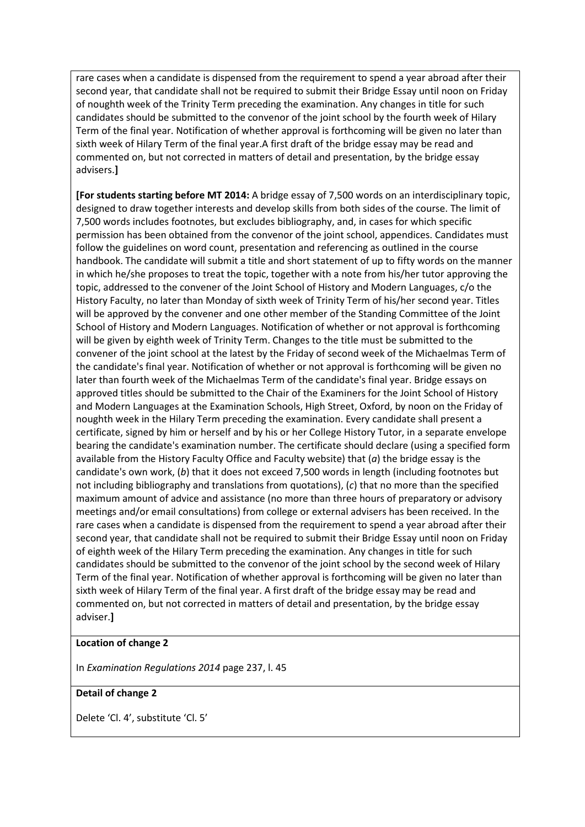rare cases when a candidate is dispensed from the requirement to spend a year abroad after their second year, that candidate shall not be required to submit their Bridge Essay until noon on Friday of noughth week of the Trinity Term preceding the examination. Any changes in title for such candidates should be submitted to the convenor of the joint school by the fourth week of Hilary Term of the final year. Notification of whether approval is forthcoming will be given no later than sixth week of Hilary Term of the final year.A first draft of the bridge essay may be read and commented on, but not corrected in matters of detail and presentation, by the bridge essay advisers.**]**

**[For students starting before MT 2014:** A bridge essay of 7,500 words on an interdisciplinary topic, designed to draw together interests and develop skills from both sides of the course. The limit of 7,500 words includes footnotes, but excludes bibliography, and, in cases for which specific permission has been obtained from the convenor of the joint school, appendices. Candidates must follow the guidelines on word count, presentation and referencing as outlined in the course handbook. The candidate will submit a title and short statement of up to fifty words on the manner in which he/she proposes to treat the topic, together with a note from his/her tutor approving the topic, addressed to the convener of the Joint School of History and Modern Languages, c/o the History Faculty, no later than Monday of sixth week of Trinity Term of his/her second year. Titles will be approved by the convener and one other member of the Standing Committee of the Joint School of History and Modern Languages. Notification of whether or not approval is forthcoming will be given by eighth week of Trinity Term. Changes to the title must be submitted to the convener of the joint school at the latest by the Friday of second week of the Michaelmas Term of the candidate's final year. Notification of whether or not approval is forthcoming will be given no later than fourth week of the Michaelmas Term of the candidate's final year. Bridge essays on approved titles should be submitted to the Chair of the Examiners for the Joint School of History and Modern Languages at the Examination Schools, High Street, Oxford, by noon on the Friday of noughth week in the Hilary Term preceding the examination. Every candidate shall present a certificate, signed by him or herself and by his or her College History Tutor, in a separate envelope bearing the candidate's examination number. The certificate should declare (using a specified form available from the History Faculty Office and Faculty website) that (*a*) the bridge essay is the candidate's own work, (*b*) that it does not exceed 7,500 words in length (including footnotes but not including bibliography and translations from quotations), (*c*) that no more than the specified maximum amount of advice and assistance (no more than three hours of preparatory or advisory meetings and/or email consultations) from college or external advisers has been received. In the rare cases when a candidate is dispensed from the requirement to spend a year abroad after their second year, that candidate shall not be required to submit their Bridge Essay until noon on Friday of eighth week of the Hilary Term preceding the examination. Any changes in title for such candidates should be submitted to the convenor of the joint school by the second week of Hilary Term of the final year. Notification of whether approval is forthcoming will be given no later than sixth week of Hilary Term of the final year. A first draft of the bridge essay may be read and commented on, but not corrected in matters of detail and presentation, by the bridge essay adviser.**]**

# **Location of change 2**

In *Examination Regulations 2014* page 237, l. 45

### **Detail of change 2**

Delete 'Cl. 4', substitute 'Cl. 5'